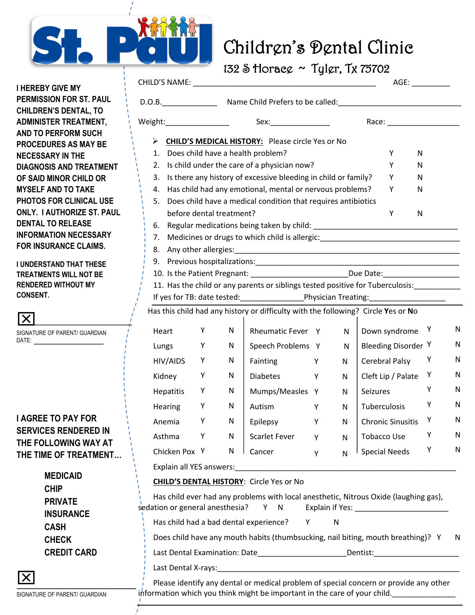

## **Children's Dental Clinic** Children's Dental Clinic

132 S Horace ~ Tyler, Tx 75702

CHILD'S NAME: \_\_\_\_\_\_\_\_\_\_\_\_\_\_\_\_\_\_\_\_\_\_\_\_\_\_\_\_\_\_\_\_\_\_\_\_\_\_\_\_\_\_\_ AGE: \_\_\_\_\_\_\_\_\_

D.O.B. The Child Prefers to be called:

Weight: Weight: Sex: Sex: Sex: Race: Race:

1. Does child have a health problem? V N

Ø **CHILD'S MEDICAL HISTORY:** Please circle Yes or No

 **I HEREBY GIVE MY PERMISSION FOR ST. PAUL CHILDREN'S DENTAL, TO ADMINISTER TREATMENT, AND TO PERFORM SUCH PROCEDURES AS MAY BE NECESSARY IN THE DIAGNOSIS AND TRI OF SAID MINOR CHILD MYSELF AND TO TA PHOTOS FOR CLINIC ONLY. I AUTHORIZE DENTAL TO RELEAS INFORMATION NECE FOR INSURANCE CL** 

**I UNDERSTAND THAT TREATMENTS WILL NO RENDERED WITHOUT CONSENT.**

| SIGNATURE OF PARENT/ GUARDIAN<br>DATE: |
|----------------------------------------|
|                                        |
|                                        |
|                                        |
| I AGREE TO PAY FOR                     |
| <b>SERVICES RENDERED IN</b>            |
| THE FOLLOWING WAY AT                   |

**THE FOLLOWING WAY AT THE TIME OF TREA** 

|           |                 |                    |                                    |                                                                                                                                                  |                                                                                                                                                                           | Y                                                                                        | N                                                                                                                                                                                                                                                                        |                                                                                                                                                                                                                                             |                                                                                                                                                                                                                                                                                                                                                                                                                                                                                                                                                                          |
|-----------|-----------------|--------------------|------------------------------------|--------------------------------------------------------------------------------------------------------------------------------------------------|---------------------------------------------------------------------------------------------------------------------------------------------------------------------------|------------------------------------------------------------------------------------------|--------------------------------------------------------------------------------------------------------------------------------------------------------------------------------------------------------------------------------------------------------------------------|---------------------------------------------------------------------------------------------------------------------------------------------------------------------------------------------------------------------------------------------|--------------------------------------------------------------------------------------------------------------------------------------------------------------------------------------------------------------------------------------------------------------------------------------------------------------------------------------------------------------------------------------------------------------------------------------------------------------------------------------------------------------------------------------------------------------------------|
| 3.        |                 |                    |                                    |                                                                                                                                                  |                                                                                                                                                                           | Y                                                                                        | N                                                                                                                                                                                                                                                                        |                                                                                                                                                                                                                                             |                                                                                                                                                                                                                                                                                                                                                                                                                                                                                                                                                                          |
| 4.        |                 |                    |                                    |                                                                                                                                                  |                                                                                                                                                                           | Υ                                                                                        | N                                                                                                                                                                                                                                                                        |                                                                                                                                                                                                                                             |                                                                                                                                                                                                                                                                                                                                                                                                                                                                                                                                                                          |
| 5.        |                 |                    |                                    |                                                                                                                                                  |                                                                                                                                                                           |                                                                                          |                                                                                                                                                                                                                                                                          |                                                                                                                                                                                                                                             |                                                                                                                                                                                                                                                                                                                                                                                                                                                                                                                                                                          |
|           |                 |                    |                                    |                                                                                                                                                  |                                                                                                                                                                           | Υ                                                                                        | $\mathsf{N}$                                                                                                                                                                                                                                                             |                                                                                                                                                                                                                                             |                                                                                                                                                                                                                                                                                                                                                                                                                                                                                                                                                                          |
| 6.        |                 |                    |                                    |                                                                                                                                                  |                                                                                                                                                                           |                                                                                          |                                                                                                                                                                                                                                                                          |                                                                                                                                                                                                                                             |                                                                                                                                                                                                                                                                                                                                                                                                                                                                                                                                                                          |
| 7.        |                 |                    |                                    |                                                                                                                                                  |                                                                                                                                                                           |                                                                                          |                                                                                                                                                                                                                                                                          |                                                                                                                                                                                                                                             |                                                                                                                                                                                                                                                                                                                                                                                                                                                                                                                                                                          |
| 8.        |                 |                    |                                    |                                                                                                                                                  |                                                                                                                                                                           |                                                                                          |                                                                                                                                                                                                                                                                          |                                                                                                                                                                                                                                             |                                                                                                                                                                                                                                                                                                                                                                                                                                                                                                                                                                          |
| 9.        |                 |                    |                                    |                                                                                                                                                  |                                                                                                                                                                           |                                                                                          |                                                                                                                                                                                                                                                                          |                                                                                                                                                                                                                                             |                                                                                                                                                                                                                                                                                                                                                                                                                                                                                                                                                                          |
|           |                 |                    |                                    |                                                                                                                                                  |                                                                                                                                                                           |                                                                                          |                                                                                                                                                                                                                                                                          |                                                                                                                                                                                                                                             |                                                                                                                                                                                                                                                                                                                                                                                                                                                                                                                                                                          |
|           |                 |                    |                                    |                                                                                                                                                  |                                                                                                                                                                           |                                                                                          |                                                                                                                                                                                                                                                                          |                                                                                                                                                                                                                                             |                                                                                                                                                                                                                                                                                                                                                                                                                                                                                                                                                                          |
|           |                 |                    |                                    |                                                                                                                                                  |                                                                                                                                                                           |                                                                                          |                                                                                                                                                                                                                                                                          |                                                                                                                                                                                                                                             |                                                                                                                                                                                                                                                                                                                                                                                                                                                                                                                                                                          |
|           |                 |                    |                                    |                                                                                                                                                  |                                                                                                                                                                           |                                                                                          |                                                                                                                                                                                                                                                                          |                                                                                                                                                                                                                                             |                                                                                                                                                                                                                                                                                                                                                                                                                                                                                                                                                                          |
| Heart     | Υ               | N                  |                                    |                                                                                                                                                  | $\mathsf{N}$                                                                                                                                                              |                                                                                          |                                                                                                                                                                                                                                                                          |                                                                                                                                                                                                                                             | N                                                                                                                                                                                                                                                                                                                                                                                                                                                                                                                                                                        |
|           | Y               | N                  |                                    |                                                                                                                                                  | N                                                                                                                                                                         |                                                                                          |                                                                                                                                                                                                                                                                          |                                                                                                                                                                                                                                             | N                                                                                                                                                                                                                                                                                                                                                                                                                                                                                                                                                                        |
| HIV/AIDS  | Y               | N                  | Fainting                           | Y                                                                                                                                                | N                                                                                                                                                                         |                                                                                          |                                                                                                                                                                                                                                                                          | Υ                                                                                                                                                                                                                                           | N                                                                                                                                                                                                                                                                                                                                                                                                                                                                                                                                                                        |
| Kidney    | Υ               | ${\sf N}$          | <b>Diabetes</b>                    | Υ                                                                                                                                                | N                                                                                                                                                                         |                                                                                          |                                                                                                                                                                                                                                                                          | Υ                                                                                                                                                                                                                                           | N                                                                                                                                                                                                                                                                                                                                                                                                                                                                                                                                                                        |
| Hepatitis | Υ               | N                  |                                    |                                                                                                                                                  | N                                                                                                                                                                         | Seizures                                                                                 |                                                                                                                                                                                                                                                                          | Y                                                                                                                                                                                                                                           | N                                                                                                                                                                                                                                                                                                                                                                                                                                                                                                                                                                        |
| Hearing   | Y               | N                  | Autism                             | Y                                                                                                                                                | N                                                                                                                                                                         |                                                                                          |                                                                                                                                                                                                                                                                          | Y                                                                                                                                                                                                                                           | N                                                                                                                                                                                                                                                                                                                                                                                                                                                                                                                                                                        |
| Anemia    | Υ               | N                  | Epilepsy                           | Y                                                                                                                                                | N                                                                                                                                                                         |                                                                                          |                                                                                                                                                                                                                                                                          | Υ                                                                                                                                                                                                                                           | N                                                                                                                                                                                                                                                                                                                                                                                                                                                                                                                                                                        |
|           |                 |                    |                                    |                                                                                                                                                  |                                                                                                                                                                           |                                                                                          |                                                                                                                                                                                                                                                                          | Υ                                                                                                                                                                                                                                           | N                                                                                                                                                                                                                                                                                                                                                                                                                                                                                                                                                                        |
|           |                 |                    |                                    |                                                                                                                                                  |                                                                                                                                                                           |                                                                                          |                                                                                                                                                                                                                                                                          |                                                                                                                                                                                                                                             | N                                                                                                                                                                                                                                                                                                                                                                                                                                                                                                                                                                        |
|           |                 |                    |                                    |                                                                                                                                                  |                                                                                                                                                                           |                                                                                          |                                                                                                                                                                                                                                                                          |                                                                                                                                                                                                                                             |                                                                                                                                                                                                                                                                                                                                                                                                                                                                                                                                                                          |
|           |                 |                    |                                    |                                                                                                                                                  |                                                                                                                                                                           |                                                                                          |                                                                                                                                                                                                                                                                          |                                                                                                                                                                                                                                             |                                                                                                                                                                                                                                                                                                                                                                                                                                                                                                                                                                          |
|           |                 |                    |                                    |                                                                                                                                                  |                                                                                                                                                                           |                                                                                          |                                                                                                                                                                                                                                                                          |                                                                                                                                                                                                                                             |                                                                                                                                                                                                                                                                                                                                                                                                                                                                                                                                                                          |
|           |                 |                    |                                    |                                                                                                                                                  |                                                                                                                                                                           |                                                                                          |                                                                                                                                                                                                                                                                          |                                                                                                                                                                                                                                             |                                                                                                                                                                                                                                                                                                                                                                                                                                                                                                                                                                          |
|           |                 |                    |                                    |                                                                                                                                                  |                                                                                                                                                                           |                                                                                          |                                                                                                                                                                                                                                                                          |                                                                                                                                                                                                                                             |                                                                                                                                                                                                                                                                                                                                                                                                                                                                                                                                                                          |
|           |                 |                    | Υ                                  |                                                                                                                                                  |                                                                                                                                                                           |                                                                                          |                                                                                                                                                                                                                                                                          |                                                                                                                                                                                                                                             |                                                                                                                                                                                                                                                                                                                                                                                                                                                                                                                                                                          |
|           |                 |                    |                                    |                                                                                                                                                  |                                                                                                                                                                           |                                                                                          |                                                                                                                                                                                                                                                                          |                                                                                                                                                                                                                                             | N                                                                                                                                                                                                                                                                                                                                                                                                                                                                                                                                                                        |
|           |                 |                    |                                    |                                                                                                                                                  |                                                                                                                                                                           |                                                                                          |                                                                                                                                                                                                                                                                          |                                                                                                                                                                                                                                             |                                                                                                                                                                                                                                                                                                                                                                                                                                                                                                                                                                          |
|           |                 |                    |                                    |                                                                                                                                                  |                                                                                                                                                                           |                                                                                          |                                                                                                                                                                                                                                                                          |                                                                                                                                                                                                                                             |                                                                                                                                                                                                                                                                                                                                                                                                                                                                                                                                                                          |
|           |                 |                    |                                    |                                                                                                                                                  |                                                                                                                                                                           |                                                                                          |                                                                                                                                                                                                                                                                          |                                                                                                                                                                                                                                             |                                                                                                                                                                                                                                                                                                                                                                                                                                                                                                                                                                          |
|           |                 |                    |                                    |                                                                                                                                                  |                                                                                                                                                                           |                                                                                          |                                                                                                                                                                                                                                                                          |                                                                                                                                                                                                                                             |                                                                                                                                                                                                                                                                                                                                                                                                                                                                                                                                                                          |
|           | Lungs<br>Asthma | Υ<br>Chicken Pox Y | N<br>N<br>Explain all YES answers: | before dental treatment?<br>Scarlet Fever<br>Cancer<br><b>CHILD'S DENTAL HISTORY:</b> Circle Yes or No<br>Has child had a bad dental experience? | 2. Is child under the care of a physician now?<br>Rheumatic Fever Y<br>Speech Problems Y<br>Mumps/Measles Y<br>Y<br>Y<br><u> 1986 - John Stein, Amerikaansk politiker</u> | $\mathsf{N}$<br>N<br>sedation or general anesthesia? Y N Explain if Yes:<br>$\mathsf{N}$ | Is there any history of excessive bleeding in child or family?<br>Has child had any emotional, mental or nervous problems?<br>Does child have a medical condition that requires antibiotics<br>information which you think might be important in the care of your child. | Has this child had any history or difficulty with the following? Circle Yes or No<br>Down syndrome<br><b>Cerebral Palsy</b><br>Cleft Lip / Palate<br>Tuberculosis<br><b>Chronic Sinusitis</b><br><b>Tobacco Use</b><br><b>Special Needs</b> | 10. Is the Patient Pregnant: _____________________________Due Date: _____________<br>11. Has the child or any parents or siblings tested positive for Tuberculosis:<br>Y<br>Bleeding Disorder <sup>Y</sup><br>Υ<br>Has child ever had any problems with local anesthetic, Nitrous Oxide (laughing gas),<br>Does child have any mouth habits (thumbsucking, nail biting, mouth breathing)? Y<br>Last Dental Examination: Date_________________________Dentist:__________________<br>Please identify any dental or medical problem of special concern or provide any other |

SIGNATURE OF PARENT/ GU

x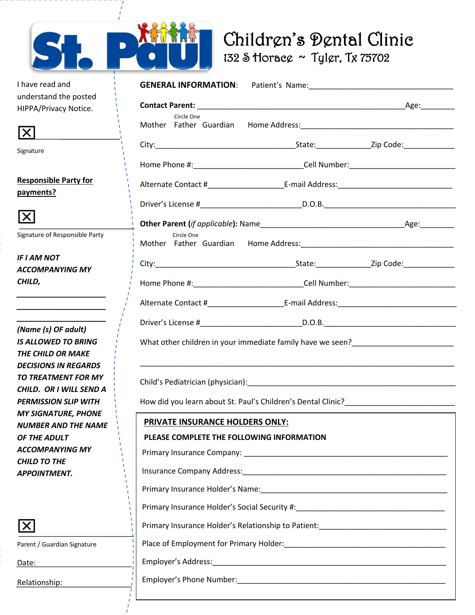

## Children's Dental Clinic<br>132 S Horace ~ Tyler, Tx 75702

| I have read and                                                                                                                                                                                                                      | <b>GENERAL INFORMATION:</b>                                                                        |  |
|--------------------------------------------------------------------------------------------------------------------------------------------------------------------------------------------------------------------------------------|----------------------------------------------------------------------------------------------------|--|
| understand the posted                                                                                                                                                                                                                |                                                                                                    |  |
| HIPPA/Privacy Notice.                                                                                                                                                                                                                |                                                                                                    |  |
| $ \mathsf{X} $                                                                                                                                                                                                                       | Circle One<br>Mother Father Guardian Home Address: 1988 - 2008 - 2014 12:30 Mother Father Cuardian |  |
| Signature                                                                                                                                                                                                                            |                                                                                                    |  |
|                                                                                                                                                                                                                                      | Home Phone #:__________________________________Cell Number:______________________                  |  |
| <b>Responsible Party for</b>                                                                                                                                                                                                         |                                                                                                    |  |
| payments?                                                                                                                                                                                                                            |                                                                                                    |  |
| $ \mathsf{X} $                                                                                                                                                                                                                       |                                                                                                    |  |
| Signature of Responsible Party                                                                                                                                                                                                       | Circle One                                                                                         |  |
| IF I AM NOT<br>ACCOMPANYING MY                                                                                                                                                                                                       |                                                                                                    |  |
| CHILD,                                                                                                                                                                                                                               |                                                                                                    |  |
| <u> 1989 - Johann John Harry John Harry John Harry John Harry John Harry John Harry John Harry John Harry John Harry John Harry John Harry John Harry John Harry John Harry John Harry John Harry John Harry John Harry John Har</u> |                                                                                                    |  |
|                                                                                                                                                                                                                                      |                                                                                                    |  |
| (Name (s) OF adult)                                                                                                                                                                                                                  |                                                                                                    |  |
| <b>IS ALLOWED TO BRING</b>                                                                                                                                                                                                           |                                                                                                    |  |
| THE CHILD OR MAKE                                                                                                                                                                                                                    |                                                                                                    |  |
| <b>DECISIONS IN REGARDS</b><br>TO TREATMENT FOR MY                                                                                                                                                                                   |                                                                                                    |  |
| CHILD. OR I WILL SEND A                                                                                                                                                                                                              |                                                                                                    |  |
| <b>PERMISSION SLIP WITH</b>                                                                                                                                                                                                          | How did you learn about St. Paul's Children's Dental Clinic?____________________                   |  |
| <b>MY SIGNATURE, PHONE</b><br>NUMBER AND THE NAME                                                                                                                                                                                    | PRIVATE INSURANCE HOLDERS ONLY:                                                                    |  |
| OF THE ADULT                                                                                                                                                                                                                         | PLEASE COMPLETE THE FOLLOWING INFORMATION                                                          |  |
| ACCOMPANYING MY<br><b>CHILD TO THE</b>                                                                                                                                                                                               |                                                                                                    |  |
| <b>APPOINTMENT.</b>                                                                                                                                                                                                                  |                                                                                                    |  |
|                                                                                                                                                                                                                                      |                                                                                                    |  |
|                                                                                                                                                                                                                                      | Primary Insurance Holder's Social Security #:___________________________________                   |  |
| $\mathsf{X}% _{0}$                                                                                                                                                                                                                   | Primary Insurance Holder's Relationship to Patient: ____________________________                   |  |
| Parent / Guardian Signature                                                                                                                                                                                                          |                                                                                                    |  |
| Date:                                                                                                                                                                                                                                |                                                                                                    |  |
| Relationship:                                                                                                                                                                                                                        |                                                                                                    |  |
|                                                                                                                                                                                                                                      |                                                                                                    |  |



Date: